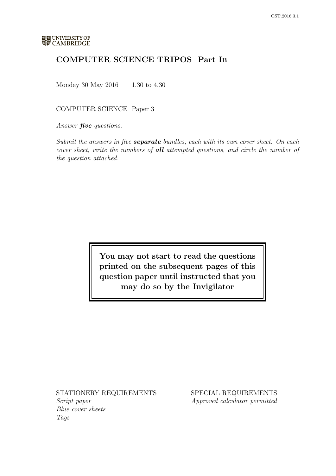# COMPUTER SCIENCE TRIPOS Part IB

Monday 30 May 2016 1.30 to 4.30

## COMPUTER SCIENCE Paper 3

Answer *five* questions.

Submit the answers in five **separate** bundles, each with its own cover sheet. On each cover sheet, write the numbers of **all** attempted questions, and circle the number of the question attached.

> You may not start to read the questions printed on the subsequent pages of this question paper until instructed that you may do so by the Invigilator

STATIONERY REQUIREMENTS Script paper Blue cover sheets

Tags

SPECIAL REQUIREMENTS Approved calculator permitted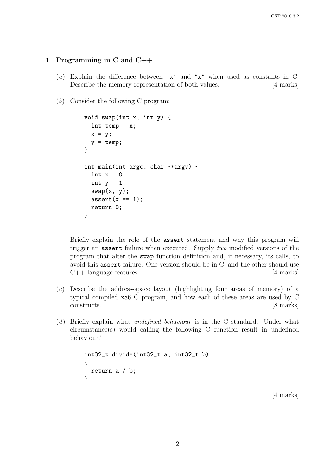### 1 Programming in C and C++

- (a) Explain the difference between 'x' and "x" when used as constants in C. Describe the memory representation of both values. [4 marks]
- (b) Consider the following C program:

```
void swap(int x, int y) {
  int temp = x;
  x = y;y = temp;}
int main(int argc, char **argv) {
  int x = 0;
  int y = 1;
  swap(x, y);
  assert(x == 1);return 0;
}
```
Briefly explain the role of the assert statement and why this program will trigger an assert failure when executed. Supply two modified versions of the program that alter the swap function definition and, if necessary, its calls, to avoid this assert failure. One version should be in C, and the other should use C++ language features. [4 marks]

- (c) Describe the address-space layout (highlighting four areas of memory) of a typical compiled x86 C program, and how each of these areas are used by C constructs. [8 marks]
- (d) Briefly explain what undefined behaviour is in the C standard. Under what circumstance(s) would calling the following C function result in undefined behaviour?

```
int32_t divide(int32_t a, int32_t b)
{
  return a / b;
}
```
[4 marks]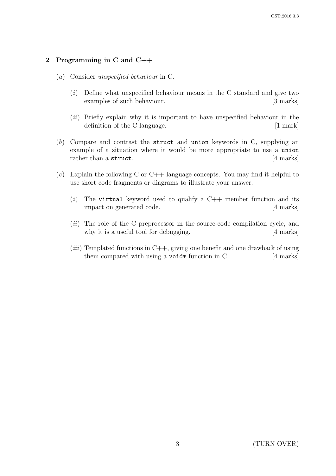# 2 Programming in C and C++

- (a) Consider unspecified behaviour in C.
	- $(i)$  Define what unspecified behaviour means in the C standard and give two examples of such behaviour. [3 marks]
	- $(ii)$  Briefly explain why it is important to have unspecified behaviour in the definition of the C language. [1 mark]
- (b) Compare and contrast the struct and union keywords in C, supplying an example of a situation where it would be more appropriate to use a union rather than a struct. [4 marks]
- (c) Explain the following C or  $C_{++}$  language concepts. You may find it helpful to use short code fragments or diagrams to illustrate your answer.
	- (i) The virtual keyword used to qualify a  $C++$  member function and its impact on generated code. [4 marks]
	- (*ii*) The role of the C preprocessor in the source-code compilation cycle, and why it is a useful tool for debugging. [4 marks]
	- $(iii)$  Templated functions in C++, giving one benefit and one drawback of using them compared with using a void\* function in C.  $[4 \text{ marks}]$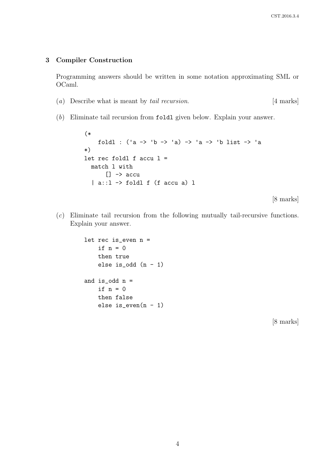#### 3 Compiler Construction

Programming answers should be written in some notation approximating SML or OCaml.

- (a) Describe what is meant by tail recursion. [4 marks]
- (b) Eliminate tail recursion from foldl given below. Explain your answer.

```
(*
     foldl : ('a \rightarrow 'b \rightarrow 'a) \rightarrow 'a \rightarrow 'b list \rightarrow 'a*)
let rec foldl f accu l =match l with
        \Box -> accu
   | a::l -> foldl f (f accu a) l
```
[8 marks]

(c) Eliminate tail recursion from the following mutually tail-recursive functions. Explain your answer.

```
let rec is_even n =
    if n = 0then true
    else is_odd (n - 1)and is_odd n =if n = 0then false
   else is_even(n - 1)
```
[8 marks]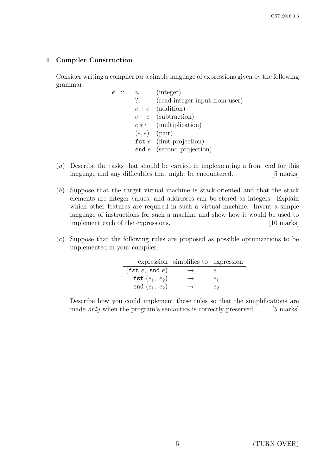# 4 Compiler Construction

Consider writing a compiler for a simple language of expressions given by the following grammar,

- $e \ ::= n \quad (integer)$ | ? (read integer input from user)  $e + e$  (addition)  $e - e$  (subtraction)  $e * e$  (multiplication)  $(e, e)$  (pair) fst  $e$  (first projection)  $\mathbf{S}$ nd  $e$  (second projection)
- (a) Describe the tasks that should be carried in implementing a front end for this language and any difficulties that might be encountered. [5 marks]
- (b) Suppose that the target virtual machine is stack-oriented and that the stack elements are integer values, and addresses can be stored as integers. Explain which other features are required in such a virtual machine. Invent a simple language of instructions for such a machine and show how it would be used to implement each of the expressions. [10 marks]
- (c) Suppose that the following rules are proposed as possible optimizations to be implemented in your compiler.

|                                       | expression simplifies to expression |    |
|---------------------------------------|-------------------------------------|----|
| $(\texttt{fst}\ e,\ \texttt{snd}\ e)$ | $\rightarrow$                       |    |
| fst $(e_1, e_2)$                      | $\rightarrow$                       | e1 |
| $\text{snd}(e_1, e_2)$                |                                     | Сo |

Describe how you could implement these rules so that the simplifications are made *only* when the program's semantics is correctly preserved. [5 marks]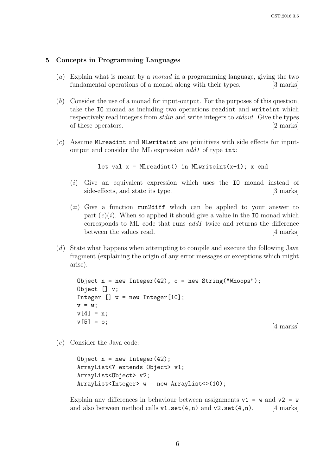#### 5 Concepts in Programming Languages

- (a) Explain what is meant by a monad in a programming language, giving the two fundamental operations of a monad along with their types. [3 marks]
- (b) Consider the use of a monad for input-output. For the purposes of this question, take the IO monad as including two operations readint and writeint which respectively read integers from *stdin* and write integers to *stdout*. Give the types of these operators. [2 marks]
- $(c)$  Assume MLreadint and MLwriteint are primitives with side effects for inputoutput and consider the ML expression add1 of type int:

```
let val x = MLreadint() in MLwriteint(x+1); x end
```
- (i) Give an equivalent expression which uses the IO monad instead of side-effects, and state its type. [3 marks]
- $(ii)$  Give a function run2diff which can be applied to your answer to part  $(c)(i)$ . When so applied it should give a value in the IO monad which corresponds to ML code that runs add1 twice and returns the difference between the values read. [4 marks]
- (d) State what happens when attempting to compile and execute the following Java fragment (explaining the origin of any error messages or exceptions which might arise).

Object  $n = new Integer(42)$ ,  $o = new String("Whoops")$ ; Object [] v; Integer  $[] w = new Integer[10];$  $v = w;$  $v[4] = n;$  $v[5] = o;$  [4 marks]

(e) Consider the Java code:

Object  $n = new Integer(42)$ ; ArrayList<? extends Object> v1; ArrayList<Object> v2; ArrayList<Integer> w = new ArrayList<>(10);

Explain any differences in behaviour between assignments  $v1 = w$  and  $v2 = w$ and also between method calls  $v1.set(4,n)$  and  $v2.set(4,n)$ . [4 marks]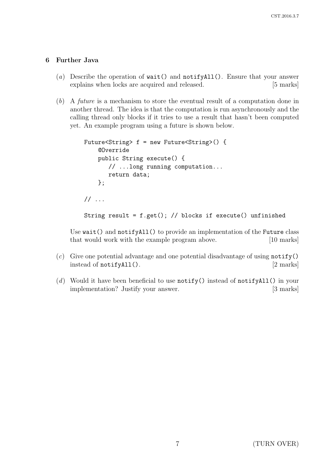# 6 Further Java

- (a) Describe the operation of  $wait()$  and  $notifyAll()$ . Ensure that your answer explains when locks are acquired and released. [5 marks]
- (b) A future is a mechanism to store the eventual result of a computation done in another thread. The idea is that the computation is run asynchronously and the calling thread only blocks if it tries to use a result that hasn't been computed yet. An example program using a future is shown below.

```
Future<String> f = new Future<String>() {
    @Override
    public String execute() {
       // ...long running computation...
       return data;
    };
// ...
String result = f.get(); // blocks if execute() unfinished
```
Use wait() and notifyAll() to provide an implementation of the Future class that would work with the example program above. [10 marks]

- $(c)$  Give one potential advantage and one potential disadvantage of using notify() instead of notify $All()$ . [2 marks]
- (d) Would it have been beneficial to use  $\text{notify}($ ) instead of  $\text{notifyAll}($ ) in your implementation? Justify your answer. [3 marks]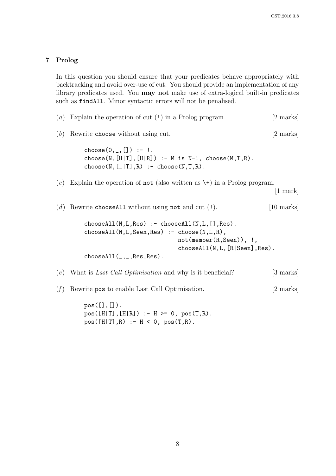## 7 Prolog

In this question you should ensure that your predicates behave appropriately with backtracking and avoid over-use of cut. You should provide an implementation of any library predicates used. You may not make use of extra-logical built-in predicates such as findAll. Minor syntactic errors will not be penalised.

```
(a) Explain the operation of cut (!) in a Prolog program. [2 marks]
(b) Rewrite choose without using cut. [2 marks]
        choose(0, 0, 0) :- !.
        choose(N,[H|T],[H|R]) :- M is N-1, choose(M,T,R).
        choose(N, [-|T], R) :- choose(N, T, R).
(c) Explain the operation of not (also written as \setminus \cdot) in a Prolog program.
                                                               [1 mark]
(d) Rewrite chooseAll without using not and cut (!). [10 marks]
        chooseAll(N,L,Res) :- chooseAll(N,L,[],Res).
        chooseAll(N,L,Seen, Res) :- choose(N,L,R),
                                   not(member(R,Seen)), !,
                                   chooseAll(N,L,[R|Seen],Res).
        chooseAll(\_,\_,\,Res,Res).
(e) What is Last Call Optimisation and why is it beneficial? [3 marks]
(f) Rewrite pos to enable Last Call Optimisation. [2 marks]
```
 $pos([], [])$ .  $pos([H|T], [H|R])$  :-  $H \ge 0$ ,  $pos(T,R)$ .  $pos([H|T], R) := H < 0$ ,  $pos(T, R)$ .